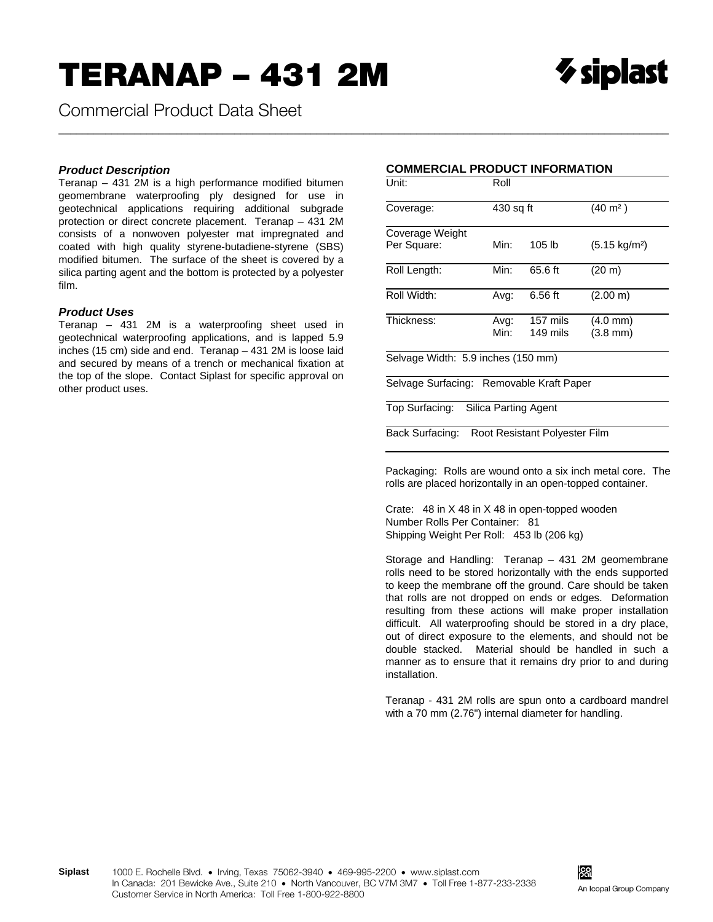Commercial Product Data Sheet

## **Product Description**

Teranap - 431 2M is a high performance modified bitumen geomembrane waterproofing ply designed for use in geotechnical applications requiring additional subgrade protection or direct concrete placement. Teranap - 431 2M consists of a nonwoven polyester mat impregnated and coated with high quality styrene-butadiene-styrene (SBS) modified bitumen. The surface of the sheet is covered by a silica parting agent and the bottom is protected by a polyester film.

## **Product Uses**

Teranap - 431 2M is a waterproofing sheet used in geotechnical waterproofing applications, and is lapped 5.9 inches (15 cm) side and end. Teranap - 431 2M is loose laid and secured by means of a trench or mechanical fixation at the top of the slope. Contact Siplast for specific approval on other product uses.

## **COMMERCIAL PRODUCT INFORMATION**

| Unit:                                    | Roll         |                               |                                          |  |  |
|------------------------------------------|--------------|-------------------------------|------------------------------------------|--|--|
| Coverage:                                | 430 sq ft    |                               | $(40 \; \text{m}^2)$                     |  |  |
| Coverage Weight                          |              |                               |                                          |  |  |
| Per Square:                              | Min:         | 105 lb                        | $(5.15 \text{ kg/m}^2)$                  |  |  |
| Roll Length:                             | Min:         | 65.6 ft                       | (20 m)                                   |  |  |
| Roll Width:                              | Avg:         | 6.56 ft                       | (2.00 m)                                 |  |  |
| Thickness:                               | Avg:<br>Min: | 157 mils<br>149 mils          | $(4.0 \text{ mm})$<br>$(3.8 \text{ mm})$ |  |  |
| Selvage Width: 5.9 inches (150 mm)       |              |                               |                                          |  |  |
| Selvage Surfacing: Removable Kraft Paper |              |                               |                                          |  |  |
| Top Surfacing: Silica Parting Agent      |              |                               |                                          |  |  |
| Back Surfacing:                          |              | Root Resistant Polvester Film |                                          |  |  |

Packaging: Rolls are wound onto a six inch metal core. The rolls are placed horizontally in an open-topped container.

Crate: 48 in X 48 in X 48 in open-topped wooden Number Rolls Per Container: 81 Shipping Weight Per Roll: 453 lb (206 kg)

Storage and Handling: Teranap - 431 2M geomembrane rolls need to be stored horizontally with the ends supported to keep the membrane off the ground. Care should be taken that rolls are not dropped on ends or edges. Deformation resulting from these actions will make proper installation difficult. All waterproofing should be stored in a dry place, out of direct exposure to the elements, and should not be double stacked. Material should be handled in such a manner as to ensure that it remains dry prior to and during installation.

Teranap - 431 2M rolls are spun onto a cardboard mandrel with a 70 mm (2.76") internal diameter for handling.